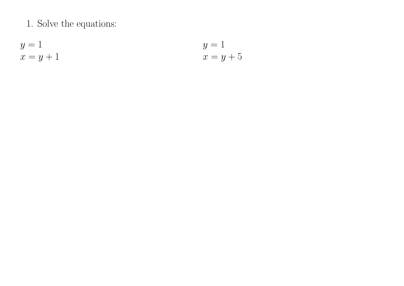$$
y = 1
$$
  

$$
x = y + 1
$$
  

$$
y = 1
$$
  

$$
x = y + 5
$$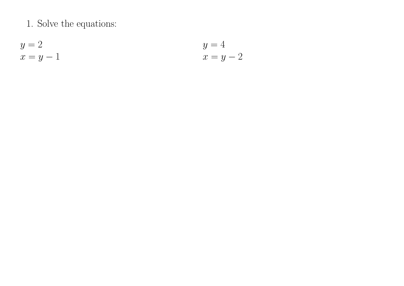$$
y = 2
$$
  

$$
x = y - 1
$$
  

$$
y = 4
$$
  

$$
x = y - 2
$$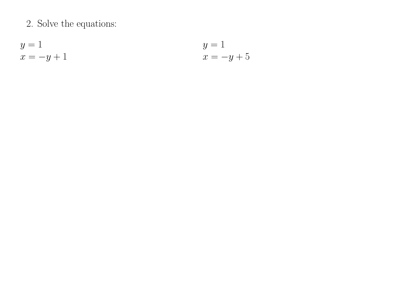$$
y = 1
$$
  

$$
x = -y + 1
$$
  

$$
y = 1
$$
  

$$
x = -y + 5
$$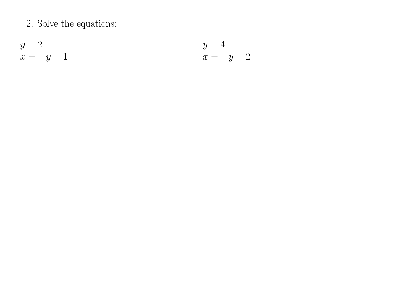$$
y = 2
$$
  

$$
x = -y - 1
$$
  

$$
y = 4
$$
  

$$
x = -y - 2
$$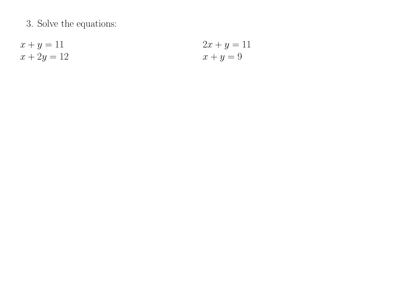$$
x + y = 11
$$
  

$$
x + 2y = 12
$$
  

$$
x + y = 11
$$
  

$$
x + y = 9
$$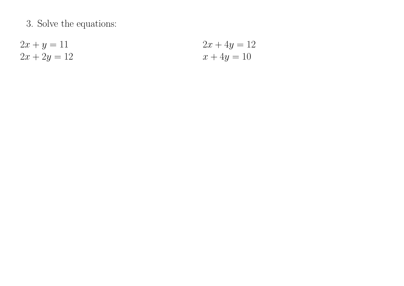$$
2x + y = 11
$$
  
2x + 2y = 12  

$$
2x + 4y = 12
$$
  

$$
x + 4y = 10
$$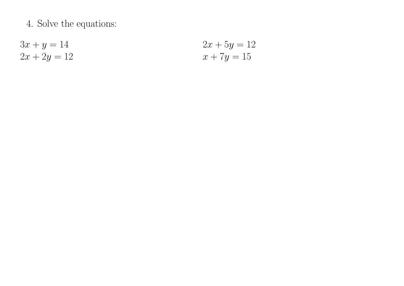$$
3x + y = 14
$$
  
2x + 2y = 12  

$$
2x + 5y = 12
$$
  

$$
x + 7y = 15
$$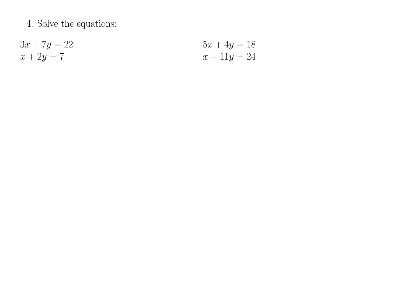$$
3x + 7y = 22\nx + 2y = 7
$$
\n
$$
5x + 4y = 18\nx + 11y = 24
$$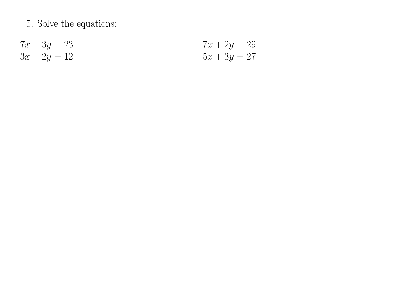$$
7x + 3y = 23\n3x + 2y = 12
$$
\n
$$
7x + 2y = 29\n5x + 3y = 27
$$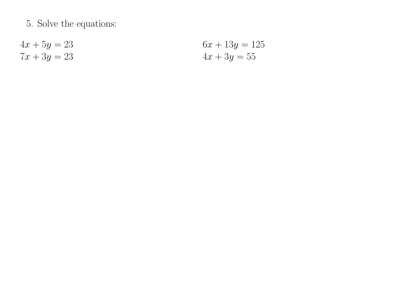$$
4x + 5y = 23\n7x + 3y = 23\n4x + 3y = 55
$$
\n
$$
4x + 3y = 55
$$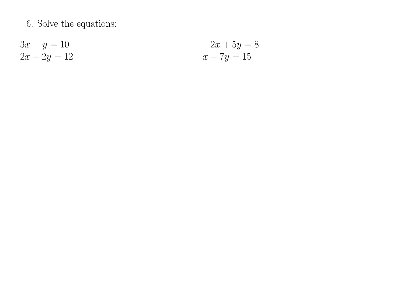$$
3x - y = 10
$$
  
\n
$$
2x + 2y = 12
$$
  
\n
$$
2x + 7y = 15
$$
  
\n
$$
2x + 7y = 15
$$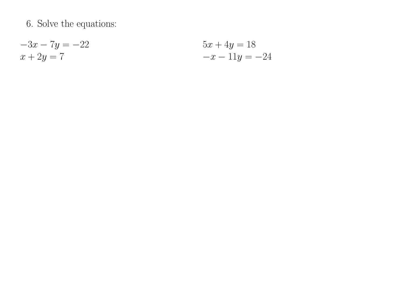$$
-3x - 7y = -22\nx + 2y = 7
$$
\n
$$
5x + 4y = 18\n-x - 11y = -24
$$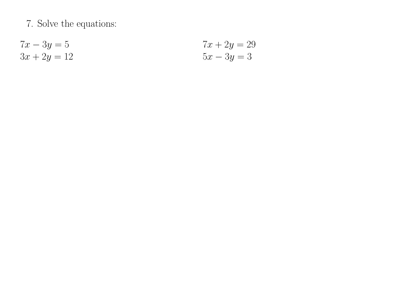$$
7x - 3y = 5\n3x + 2y = 12
$$
\n
$$
7x + 2y = 29\n5x - 3y = 3
$$